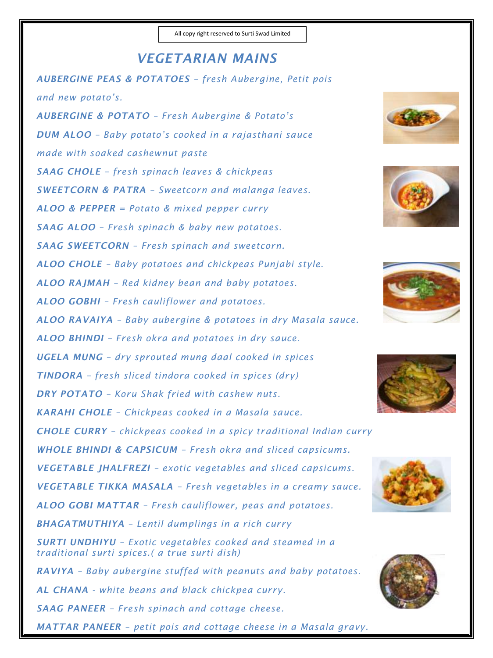## *VEGETARIAN MAINS AUBERGINE PEAS & POTATOES – fresh Aubergine, Petit pois and new potato's. AUBERGINE & POTATO – Fresh Aubergine & Potato's DUM ALOO – Baby potato's cooked in a rajasthani sauce*

*made with soaked cashewnut paste* 

*SAAG CHOLE – fresh spinach leaves & chickpeas* 

*SWEETCORN & PATRA – Sweetcorn and malanga leaves.* 

*ALOO & PEPPER = Potato & mixed pepper curry* 

*SAAG ALOO – Fresh spinach & baby new potatoes.* 

*SAAG SWEETCORN – Fresh spinach and sweetcorn.* 

*ALOO CHOLE – Baby potatoes and chickpeas Punjabi style.* 

*ALOO RAJMAH – Red kidney bean and baby potatoes.* 

*ALOO GOBHI – Fresh cauliflower and potatoes.* 

*ALOO RAVAIYA – Baby aubergine & potatoes in dry Masala sauce.* 

*ALOO BHINDI – Fresh okra and potatoes in dry sauce.*

*UGELA MUNG – dry sprouted mung daal cooked in spices* 

*TINDORA – fresh sliced tindora cooked in spices (dry)* 

*DRY POTATO – Koru Shak fried with cashew nuts.* 

*KARAHI CHOLE – Chickpeas cooked in a Masala sauce.* 

*CHOLE CURRY – chickpeas cooked in a spicy traditional Indian curry* 

*WHOLE BHINDI & CAPSICUM – Fresh okra and sliced capsicums.* 

*VEGETABLE JHALFREZI – exotic vegetables and sliced capsicums.* 

*VEGETABLE TIKKA MASALA – Fresh vegetables in a creamy sauce.* 

*ALOO GOBI MATTAR – Fresh cauliflower, peas and potatoes.* 

*BHAGATMUTHIYA – Lentil dumplings in a rich curry* 

*SURTI UNDHIYU – Exotic vegetables cooked and steamed in a traditional surti spices.( a true surti dish)* 

*RAVIYA – Baby aubergine stuffed with peanuts and baby potatoes. AL CHANA - white beans and black chickpea curry. SAAG PANEER – Fresh spinach and cottage cheese.* 

*MATTAR PANEER – petit pois and cottage cheese in a Masala gravy.*